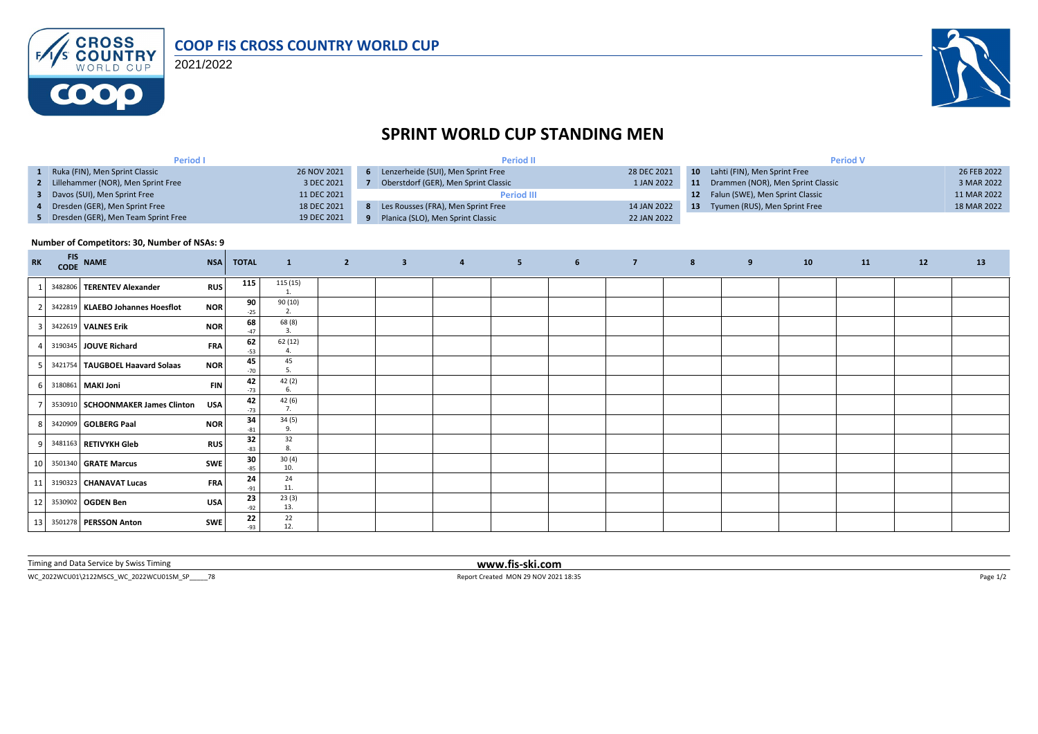

2021/2022



## **SPRINT WORLD CUP STANDING MEN**

| Period I                              |             | <b>Period II</b>                     |             | <b>Period V</b> |                                   |             |  |
|---------------------------------------|-------------|--------------------------------------|-------------|-----------------|-----------------------------------|-------------|--|
| 1 Ruka (FIN), Men Sprint Classic      | 26 NOV 2021 | 6 Lenzerheide (SUI), Men Sprint Free | 28 DEC 2021 |                 | 10 Lahti (FIN), Men Sprint Free   | 26 FEB 2022 |  |
| 2 Lillehammer (NOR), Men Sprint Free  | 3 DEC 2021  | Oberstdorf (GER), Men Sprint Classic | 1 JAN 2022  | 11              | Drammen (NOR), Men Sprint Classic | 3 MAR 2022  |  |
| 3 Davos (SUI), Men Sprint Free        | 11 DEC 2021 | <b>Period III</b>                    |             |                 | Falun (SWE), Men Sprint Classic   | 11 MAR 2022 |  |
| 4 Dresden (GER), Men Sprint Free      | 18 DEC 2021 | Les Rousses (FRA), Men Sprint Free   | 14 JAN 2022 | -13             | Tyumen (RUS), Men Sprint Free     | 18 MAR 2022 |  |
| 5 Dresden (GER), Men Team Sprint Free | 19 DEC 2021 | Planica (SLO), Men Sprint Classic    | 22 JAN 2022 |                 |                                   |             |  |

## **Number of Competitors: 30, Number of NSAs: 9**

| <b>RK</b> | FIS NAME                          | <b>NSA</b> | <b>TOTAL</b> | $\mathbf{1}$        | $\overline{\mathbf{3}}$ | $\overline{4}$ | 5 <sub>1</sub> | $6 \qquad \qquad 7$ | $\boldsymbol{8}$ | 9 | 10 | 11 | 12 | 13 |
|-----------|-----------------------------------|------------|--------------|---------------------|-------------------------|----------------|----------------|---------------------|------------------|---|----|----|----|----|
|           | 3482806 TERENTEV Alexander        | <b>RUS</b> | 115          | 115 (15)            |                         |                |                |                     |                  |   |    |    |    |    |
|           | 3422819 KLAEBO Johannes Hoesflot  | <b>NOR</b> | 90<br>$-25$  | 90 (10)<br>2.       |                         |                |                |                     |                  |   |    |    |    |    |
|           | 3422619 VALNES Erik               | <b>NOR</b> | 68<br>$-47$  | 68 (8)<br>3.        |                         |                |                |                     |                  |   |    |    |    |    |
| 4         | 3190345 JOUVE Richard             | <b>FRA</b> | 62<br>$-53$  | 62 (12)<br>$\Delta$ |                         |                |                |                     |                  |   |    |    |    |    |
| 5.        | 3421754 TAUGBOEL Haavard Solaas   | <b>NOR</b> | 45<br>$-70$  | 45<br>5.            |                         |                |                |                     |                  |   |    |    |    |    |
|           | 6 3180861 MAKI Joni               | <b>FIN</b> | 42<br>$-73$  | 42 (2)              |                         |                |                |                     |                  |   |    |    |    |    |
|           | 3530910 SCHOONMAKER James Clinton | <b>USA</b> | 42<br>$-73$  | 42(6)<br>7.         |                         |                |                |                     |                  |   |    |    |    |    |
|           | 8 3420909 GOLBERG Paal            | <b>NOR</b> | 34<br>$-81$  | 34(5)<br>9.         |                         |                |                |                     |                  |   |    |    |    |    |
| 9         | 3481163 RETIVYKH Gleb             | <b>RUS</b> | 32<br>$-83$  | 32<br>8.            |                         |                |                |                     |                  |   |    |    |    |    |
|           | 10 3501340 GRATE Marcus           | <b>SWE</b> | 30<br>$-85$  | 30(4)<br>10.        |                         |                |                |                     |                  |   |    |    |    |    |
| 11        | 3190323 CHANAVAT Lucas            | <b>FRA</b> | 24<br>$-91$  | 24<br>11.           |                         |                |                |                     |                  |   |    |    |    |    |
| 12        | 3530902 OGDEN Ben                 | USA        | 23<br>$-92$  | 23(3)<br>13.        |                         |                |                |                     |                  |   |    |    |    |    |
|           | 13 3501278 PERSSON Anton          | <b>SWE</b> | 22<br>$-93$  | 22<br>12.           |                         |                |                |                     |                  |   |    |    |    |    |

Timing and Data Service by Swiss Timing **www.fis-ski.com**

WC\_2022WCU01\2122MSCS\_WC\_2022WCU01SM\_SP\_\_\_\_\_78 Report Created MON 29 NOV 2021 18:35 Page 1/2